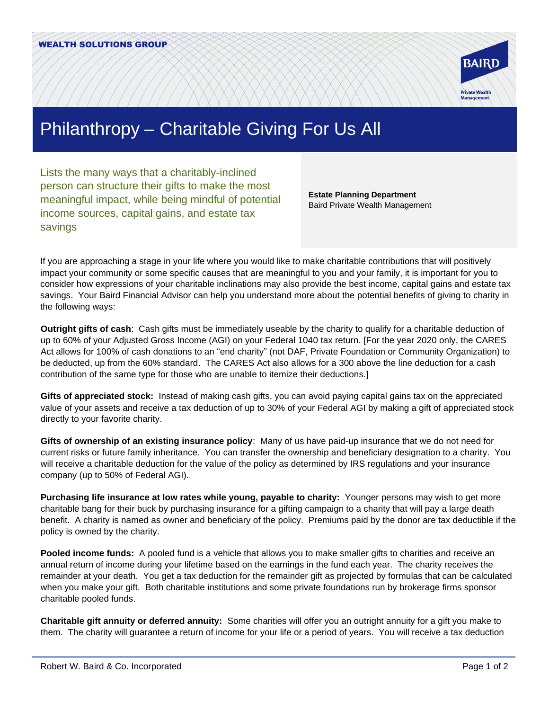

## Philanthropy – Charitable Giving For Us All

Lists the many ways that a charitably-inclined person can structure their gifts to make the most meaningful impact, while being mindful of potential income sources, capital gains, and estate tax savings

**Estate Planning Department** Baird Private Wealth Management

If you are approaching a stage in your life where you would like to make charitable contributions that will positively impact your community or some specific causes that are meaningful to you and your family, it is important for you to consider how expressions of your charitable inclinations may also provide the best income, capital gains and estate tax savings. Your Baird Financial Advisor can help you understand more about the potential benefits of giving to charity in the following ways:

**Outright gifts of cash**: Cash gifts must be immediately useable by the charity to qualify for a charitable deduction of up to 60% of your Adjusted Gross Income (AGI) on your Federal 1040 tax return. [For the year 2020 only, the CARES Act allows for 100% of cash donations to an "end charity" (not DAF, Private Foundation or Community Organization) to be deducted, up from the 60% standard. The CARES Act also allows for a 300 above the line deduction for a cash contribution of the same type for those who are unable to itemize their deductions.]

**Gifts of appreciated stock:** Instead of making cash gifts, you can avoid paying capital gains tax on the appreciated value of your assets and receive a tax deduction of up to 30% of your Federal AGI by making a gift of appreciated stock directly to your favorite charity.

**Gifts of ownership of an existing insurance policy**: Many of us have paid-up insurance that we do not need for current risks or future family inheritance. You can transfer the ownership and beneficiary designation to a charity. You will receive a charitable deduction for the value of the policy as determined by IRS regulations and your insurance company (up to 50% of Federal AGI).

**Purchasing life insurance at low rates while young, payable to charity:** Younger persons may wish to get more charitable bang for their buck by purchasing insurance for a gifting campaign to a charity that will pay a large death benefit. A charity is named as owner and beneficiary of the policy. Premiums paid by the donor are tax deductible if the policy is owned by the charity.

**Pooled income funds:** A pooled fund is a vehicle that allows you to make smaller gifts to charities and receive an annual return of income during your lifetime based on the earnings in the fund each year. The charity receives the remainder at your death. You get a tax deduction for the remainder gift as projected by formulas that can be calculated when you make your gift. Both charitable institutions and some private foundations run by brokerage firms sponsor charitable pooled funds.

**Charitable gift annuity or deferred annuity:** Some charities will offer you an outright annuity for a gift you make to them. The charity will guarantee a return of income for your life or a period of years. You will receive a tax deduction